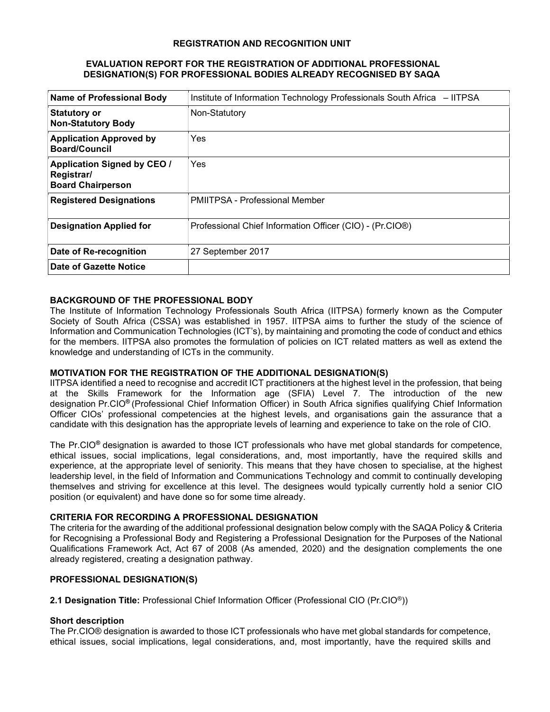#### REGISTRATION AND RECOGNITION UNIT

#### EVALUATION REPORT FOR THE REGISTRATION OF ADDITIONAL PROFESSIONAL DESIGNATION(S) FOR PROFESSIONAL BODIES ALREADY RECOGNISED BY SAQA

| <b>Name of Professional Body</b>                                             | Institute of Information Technology Professionals South Africa - IITPSA |
|------------------------------------------------------------------------------|-------------------------------------------------------------------------|
| <b>Statutory or</b><br><b>Non-Statutory Body</b>                             | Non-Statutory                                                           |
| <b>Application Approved by</b><br><b>Board/Council</b>                       | Yes                                                                     |
| <b>Application Signed by CEO /</b><br>Registrar/<br><b>Board Chairperson</b> | Yes                                                                     |
| <b>Registered Designations</b>                                               | <b>PMIITPSA - Professional Member</b>                                   |
| <b>Designation Applied for</b>                                               | Professional Chief Information Officer (CIO) - (Pr.CIO®)                |
| Date of Re-recognition                                                       | 27 September 2017                                                       |
| Date of Gazette Notice                                                       |                                                                         |

# BACKGROUND OF THE PROFESSIONAL BODY

The Institute of Information Technology Professionals South Africa (IITPSA) formerly known as the Computer Society of South Africa (CSSA) was established in 1957. IITPSA aims to further the study of the science of Information and Communication Technologies (ICT's), by maintaining and promoting the code of conduct and ethics for the members. IITPSA also promotes the formulation of policies on ICT related matters as well as extend the knowledge and understanding of ICTs in the community.

### MOTIVATION FOR THE REGISTRATION OF THE ADDITIONAL DESIGNATION(S)

IITPSA identified a need to recognise and accredit ICT practitioners at the highest level in the profession, that being at the Skills Framework for the Information age (SFIA) Level 7. The introduction of the new designation Pr.CIO® (Professional Chief Information Officer) in South Africa signifies qualifying Chief Information Officer CIOs' professional competencies at the highest levels, and organisations gain the assurance that a candidate with this designation has the appropriate levels of learning and experience to take on the role of CIO.

The Pr.CIO® designation is awarded to those ICT professionals who have met global standards for competence, ethical issues, social implications, legal considerations, and, most importantly, have the required skills and experience, at the appropriate level of seniority. This means that they have chosen to specialise, at the highest leadership level, in the field of Information and Communications Technology and commit to continually developing themselves and striving for excellence at this level. The designees would typically currently hold a senior CIO position (or equivalent) and have done so for some time already.

### CRITERIA FOR RECORDING A PROFESSIONAL DESIGNATION

The criteria for the awarding of the additional professional designation below comply with the SAQA Policy & Criteria for Recognising a Professional Body and Registering a Professional Designation for the Purposes of the National Qualifications Framework Act, Act 67 of 2008 (As amended, 2020) and the designation complements the one already registered, creating a designation pathway.

### PROFESSIONAL DESIGNATION(S)

2.1 Designation Title: Professional Chief Information Officer (Professional CIO (Pr.CIO®))

### Short description

The Pr.CIO® designation is awarded to those ICT professionals who have met global standards for competence, ethical issues, social implications, legal considerations, and, most importantly, have the required skills and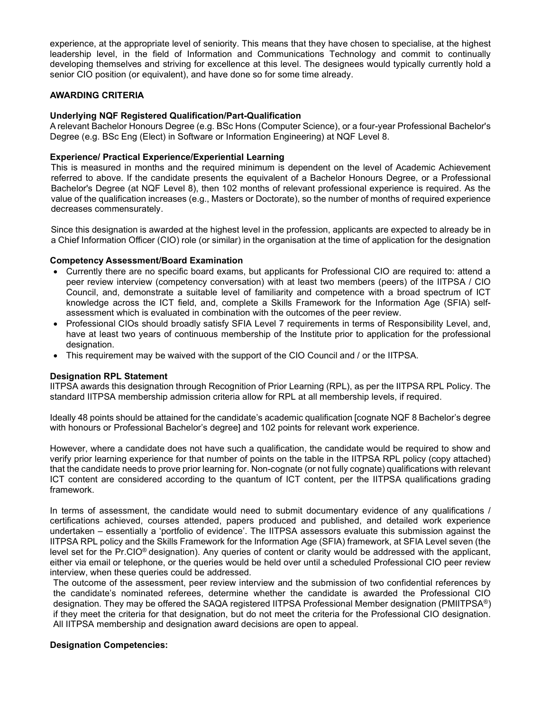experience, at the appropriate level of seniority. This means that they have chosen to specialise, at the highest leadership level, in the field of Information and Communications Technology and commit to continually developing themselves and striving for excellence at this level. The designees would typically currently hold a senior CIO position (or equivalent), and have done so for some time already.

### AWARDING CRITERIA

### Underlying NQF Registered Qualification/Part-Qualification

A relevant Bachelor Honours Degree (e.g. BSc Hons (Computer Science), or a four-year Professional Bachelor's Degree (e.g. BSc Eng (Elect) in Software or Information Engineering) at NQF Level 8.

### Experience/ Practical Experience/Experiential Learning

This is measured in months and the required minimum is dependent on the level of Academic Achievement referred to above. If the candidate presents the equivalent of a Bachelor Honours Degree, or a Professional Bachelor's Degree (at NQF Level 8), then 102 months of relevant professional experience is required. As the value of the qualification increases (e.g., Masters or Doctorate), so the number of months of required experience decreases commensurately.

Since this designation is awarded at the highest level in the profession, applicants are expected to already be in a Chief Information Officer (CIO) role (or similar) in the organisation at the time of application for the designation

# Competency Assessment/Board Examination

- Currently there are no specific board exams, but applicants for Professional CIO are required to: attend a peer review interview (competency conversation) with at least two members (peers) of the IITPSA / CIO Council, and, demonstrate a suitable level of familiarity and competence with a broad spectrum of ICT knowledge across the ICT field, and, complete a Skills Framework for the Information Age (SFIA) selfassessment which is evaluated in combination with the outcomes of the peer review.
- Professional CIOs should broadly satisfy SFIA Level 7 requirements in terms of Responsibility Level, and, have at least two years of continuous membership of the Institute prior to application for the professional designation.
- This requirement may be waived with the support of the CIO Council and / or the IITPSA.

### Designation RPL Statement

IITPSA awards this designation through Recognition of Prior Learning (RPL), as per the IITPSA RPL Policy. The standard IITPSA membership admission criteria allow for RPL at all membership levels, if required.

Ideally 48 points should be attained for the candidate's academic qualification [cognate NQF 8 Bachelor's degree with honours or Professional Bachelor's degree] and 102 points for relevant work experience.

However, where a candidate does not have such a qualification, the candidate would be required to show and verify prior learning experience for that number of points on the table in the IITPSA RPL policy (copy attached) that the candidate needs to prove prior learning for. Non-cognate (or not fully cognate) qualifications with relevant ICT content are considered according to the quantum of ICT content, per the IITPSA qualifications grading framework.

In terms of assessment, the candidate would need to submit documentary evidence of any qualifications / certifications achieved, courses attended, papers produced and published, and detailed work experience undertaken – essentially a 'portfolio of evidence'. The IITPSA assessors evaluate this submission against the IITPSA RPL policy and the Skills Framework for the Information Age (SFIA) framework, at SFIA Level seven (the level set for the Pr.CIO® designation). Any queries of content or clarity would be addressed with the applicant, either via email or telephone, or the queries would be held over until a scheduled Professional CIO peer review interview, when these queries could be addressed.

The outcome of the assessment, peer review interview and the submission of two confidential references by the candidate's nominated referees, determine whether the candidate is awarded the Professional CIO designation. They may be offered the SAQA registered IITPSA Professional Member designation (PMIITPSA®) if they meet the criteria for that designation, but do not meet the criteria for the Professional CIO designation. All IITPSA membership and designation award decisions are open to appeal.

### Designation Competencies: